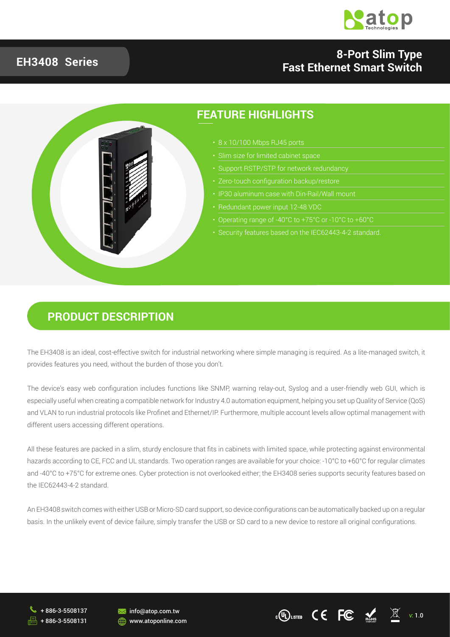

#### **EH3408 Series**

#### **8-Port Slim Type Fast Ethernet Smart Switch**



#### **PRODUCT DESCRIPTION**

The EH3408 is an ideal, cost-effective switch for industrial networking where simple managing is required. As a lite-managed switch, it provides features you need, without the burden of those you don't.

The device's easy web configuration includes functions like SNMP, warning relay-out, Syslog and a user-friendly web GUI, which is especially useful when creating a compatible network for Industry 4.0 automation equipment, helping you set up Quality of Service (QoS) and VLAN to run industrial protocols like Profinet and Ethernet/IP. Furthermore, multiple account levels allow optimal management with different users accessing different operations.

All these features are packed in a slim, sturdy enclosure that fits in cabinets with limited space, while protecting against environmental hazards according to CE. FCC and UL standards. Two operation ranges are available for your choice: -10°C to +60°C for regular climates and -40°C to +75°C for extreme ones. Cyber protection is not overlooked either; the EH3408 series supports security features based on the IEC62443-4-2 standard.

An EH3408 switch comes with either USB or Micro-SD card support, so device configurations can be automatically backed up on a regular basis. In the unlikely event of device failure, simply transfer the USB or SD card to a new device to restore all original configurations.

+ 886-3-5508137 + 886-3-5508131



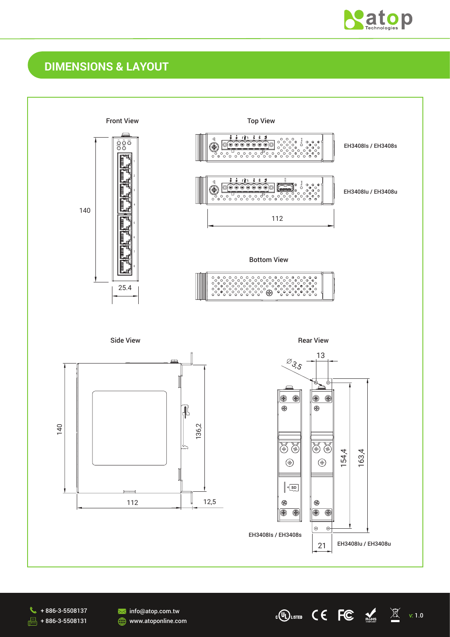

v: 1.0

 $\underline{\mathbb{X}}$ 

 $\epsilon$ <sup>(U<sub>L</sub>) LISTED</sup> C E FC  $\epsilon$ 

### **DIMENSIONS & LAYOUT**





**M**info@atop.com.tw **WWW.atoponline.com**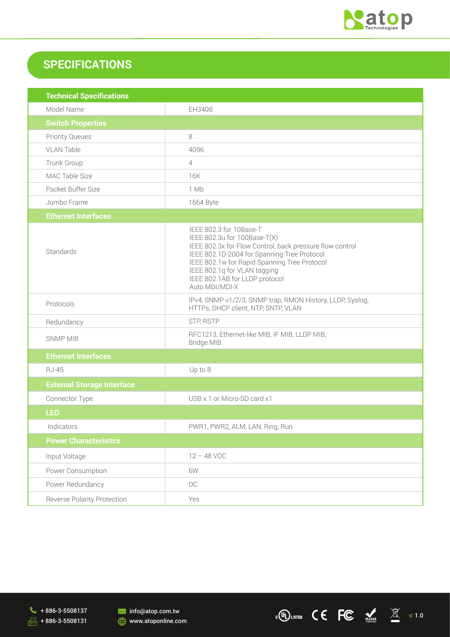

 $\cdot$  (UL) LISTED C C FC  $\underset{\text{nothm}}{\text{K}}$   $\underset{\text{nothm}}{\text{K}}$  v: 1.0

## **SPECIFICATIONS**

| <b>Technical Specifications</b>   |                                                                                                                                                                                                                                                                                                        |  |
|-----------------------------------|--------------------------------------------------------------------------------------------------------------------------------------------------------------------------------------------------------------------------------------------------------------------------------------------------------|--|
| Model Name                        | EH3408                                                                                                                                                                                                                                                                                                 |  |
| <b>Switch Properties</b>          |                                                                                                                                                                                                                                                                                                        |  |
| <b>Priority Queues</b>            | 8                                                                                                                                                                                                                                                                                                      |  |
| <b>VLAN Table</b>                 | 4096                                                                                                                                                                                                                                                                                                   |  |
| Trunk Group                       | $\overline{4}$                                                                                                                                                                                                                                                                                         |  |
| MAC Table Size                    | 16K                                                                                                                                                                                                                                                                                                    |  |
| Packet Buffer Size                | 1 Mb                                                                                                                                                                                                                                                                                                   |  |
| Jumbo Frame                       | 1664 Byte                                                                                                                                                                                                                                                                                              |  |
| <b>Ethernet Interfaces</b>        |                                                                                                                                                                                                                                                                                                        |  |
| Standards                         | IEEE 802.3 for 10Base-T<br>IEEE 802.3u for 100Base-T(X)<br>IEEE 802.3x for Flow Control, back pressure flow control<br>IEEE 802.1D-2004 for Spanning Tree Protocol<br>IEEE 802.1w for Rapid Spanning Tree Protocol<br>IEEE 802.1q for VLAN tagging<br>IEEE 802.1AB for LLDP protocol<br>Auto MDI/MDI-X |  |
| Protocols                         | IPv4, SNMP v1/2/3, SNMP trap, RMON History, LLDP, Syslog,<br>HTTPs, DHCP client, NTP, SNTP, VLAN                                                                                                                                                                                                       |  |
| Redundancy                        | STP, RSTP                                                                                                                                                                                                                                                                                              |  |
| <b>SNMP MIB</b>                   | RFC1213, Ethernet-like MIB, IF MIB, LLDP MIB,<br><b>Bridge MIB</b>                                                                                                                                                                                                                                     |  |
| <b>Ethernet Interfaces</b>        |                                                                                                                                                                                                                                                                                                        |  |
| <b>RJ-45</b>                      | Up to 8                                                                                                                                                                                                                                                                                                |  |
| <b>External Storage Interface</b> |                                                                                                                                                                                                                                                                                                        |  |
| Connector Type                    | USB x 1 or Micro-SD card x1                                                                                                                                                                                                                                                                            |  |
| LED                               |                                                                                                                                                                                                                                                                                                        |  |
| Indicators                        | PWR1, PWR2, ALM, LAN, Ring, Run                                                                                                                                                                                                                                                                        |  |
| <b>Power Characteristics</b>      |                                                                                                                                                                                                                                                                                                        |  |
| Input Voltage                     | $12 - 48$ VDC                                                                                                                                                                                                                                                                                          |  |
| Power Consumption                 | 6W                                                                                                                                                                                                                                                                                                     |  |
| Power Redundancy                  | DC                                                                                                                                                                                                                                                                                                     |  |
| Reverse Polarity Protection       | Yes                                                                                                                                                                                                                                                                                                    |  |

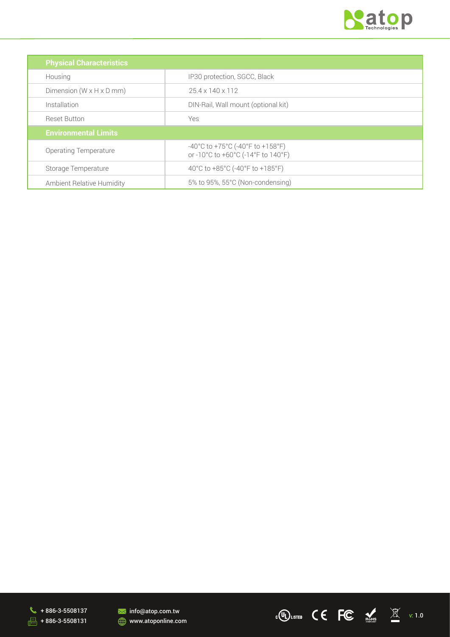

| <b>Physical Characteristics</b>      |                                                                                                                   |  |  |
|--------------------------------------|-------------------------------------------------------------------------------------------------------------------|--|--|
| Housing                              | IP30 protection, SGCC, Black                                                                                      |  |  |
| Dimension $(W \times H \times D$ mm) | $25.4 \times 140 \times 112$                                                                                      |  |  |
| Installation                         | DIN-Rail, Wall mount (optional kit)                                                                               |  |  |
| <b>Reset Button</b>                  | Yes                                                                                                               |  |  |
| <b>Environmental Limits</b>          |                                                                                                                   |  |  |
| <b>Operating Temperature</b>         | $-40^{\circ}$ C to +75 $^{\circ}$ C (-40 $^{\circ}$ F to +158 $^{\circ}$ F)<br>or -10°C to +60°C (-14°F to 140°F) |  |  |
| Storage Temperature                  | 40°C to +85°C (-40°F to +185°F)                                                                                   |  |  |
| Ambient Relative Humidity            | 5% to 95%, 55°C (Non-condensing)                                                                                  |  |  |





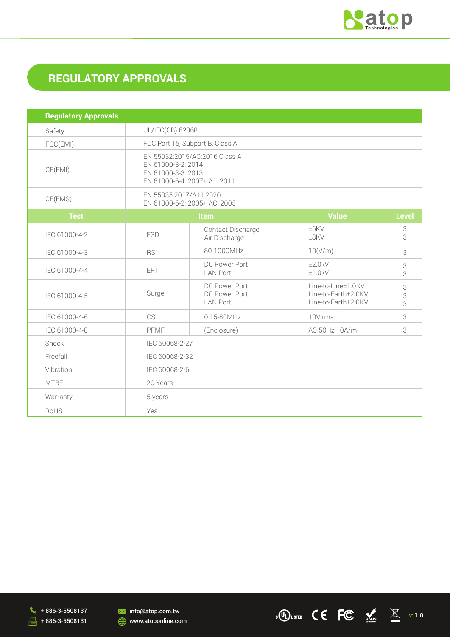

# **REGULATORY APPROVALS**

| <b>Regulatory Approvals</b> |                                                                                                           |                                                   |                                                                  |              |  |
|-----------------------------|-----------------------------------------------------------------------------------------------------------|---------------------------------------------------|------------------------------------------------------------------|--------------|--|
| Safety                      | UL/IEC(CB) 62368                                                                                          |                                                   |                                                                  |              |  |
| FCC(EMI)                    | FCC Part 15, Subpart B, Class A                                                                           |                                                   |                                                                  |              |  |
| CE(EMI)                     | EN 55032:2015/AC:2016 Class A<br>EN 61000-3-2: 2014<br>EN 61000-3-3: 2013<br>EN 61000-6-4: 2007+ A1: 2011 |                                                   |                                                                  |              |  |
| CE(EMS)                     | EN 55035:2017/A11:2020<br>EN 61000-6-2: 2005+ AC: 2005                                                    |                                                   |                                                                  |              |  |
| <b>Test</b>                 | Item                                                                                                      |                                                   | <b>Value</b>                                                     | <b>Level</b> |  |
| IEC 61000-4-2               | <b>ESD</b>                                                                                                | Contact Discharge<br>Air Discharge                | ±6KV<br>±8KV                                                     | 3<br>3       |  |
| IEC 61000-4-3               | <b>RS</b>                                                                                                 | 80-1000MHz                                        | 10(V/m)                                                          | 3            |  |
| IEC 61000-4-4               | <b>EFT</b>                                                                                                | DC Power Port<br><b>LAN Port</b>                  | ±2.0kV<br>±1.0kV                                                 | 3<br>3       |  |
| IEC 61000-4-5               | Surge                                                                                                     | DC Power Port<br>DC Power Port<br><b>LAN Port</b> | Line-to-Line±1.0KV<br>Line-to-Earth±2.0KV<br>Line-to-Earth±2.0KV | 3<br>3<br>3  |  |
| IEC 61000-4-6               | CS                                                                                                        | $0.15 - 80$ MHz                                   | 10V rms                                                          | 3            |  |
| IEC 61000-4-8               | <b>PFMF</b>                                                                                               | (Enclosure)                                       | AC 50Hz 10A/m                                                    | 3            |  |
| Shock                       | IEC 60068-2-27                                                                                            |                                                   |                                                                  |              |  |
| Freefall                    | IEC 60068-2-32                                                                                            |                                                   |                                                                  |              |  |
| Vibration                   | IEC 60068-2-6                                                                                             |                                                   |                                                                  |              |  |
| <b>MTBF</b>                 | 20 Years                                                                                                  |                                                   |                                                                  |              |  |
| Warranty                    | 5 years                                                                                                   |                                                   |                                                                  |              |  |
| RoHS                        | Yes                                                                                                       |                                                   |                                                                  |              |  |